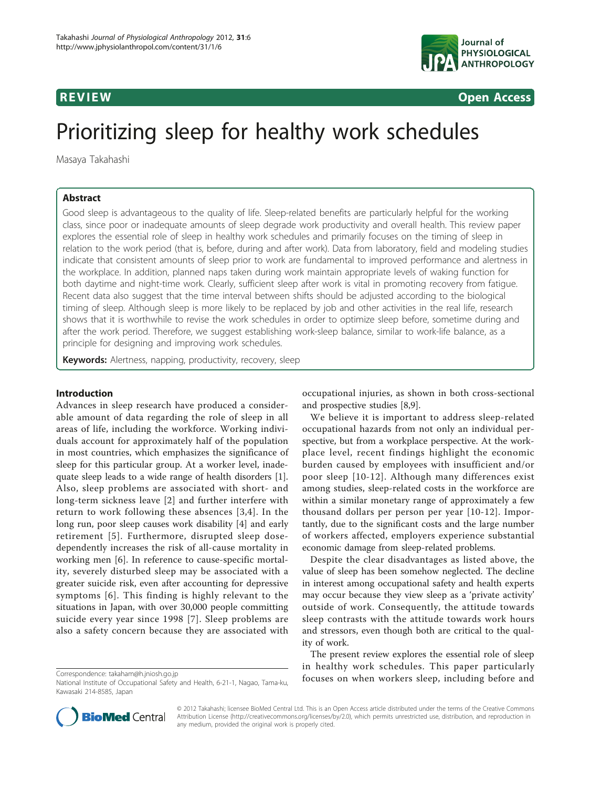

**REVIEW CONSIDERING CONSIDERING CONSIDERING CONSIDERING CONSIDERING CONSIDERING CONSIDERING CONSIDERING CONSIDERING CONSIDERING CONSIDERING CONSIDERING CONSIDERING CONSIDERING CONSIDERING CONSIDERING CONSIDERING CONSIDER** 

# Prioritizing sleep for healthy work schedules

Masaya Takahashi

# Abstract

Good sleep is advantageous to the quality of life. Sleep-related benefits are particularly helpful for the working class, since poor or inadequate amounts of sleep degrade work productivity and overall health. This review paper explores the essential role of sleep in healthy work schedules and primarily focuses on the timing of sleep in relation to the work period (that is, before, during and after work). Data from laboratory, field and modeling studies indicate that consistent amounts of sleep prior to work are fundamental to improved performance and alertness in the workplace. In addition, planned naps taken during work maintain appropriate levels of waking function for both daytime and night-time work. Clearly, sufficient sleep after work is vital in promoting recovery from fatigue. Recent data also suggest that the time interval between shifts should be adjusted according to the biological timing of sleep. Although sleep is more likely to be replaced by job and other activities in the real life, research shows that it is worthwhile to revise the work schedules in order to optimize sleep before, sometime during and after the work period. Therefore, we suggest establishing work-sleep balance, similar to work-life balance, as a principle for designing and improving work schedules.

**Keywords:** Alertness, napping, productivity, recovery, sleep

# Introduction

Advances in sleep research have produced a considerable amount of data regarding the role of sleep in all areas of life, including the workforce. Working individuals account for approximately half of the population in most countries, which emphasizes the significance of sleep for this particular group. At a worker level, inadequate sleep leads to a wide range of health disorders [\[1](#page-6-0)]. Also, sleep problems are associated with short- and long-term sickness leave [\[2](#page-6-0)] and further interfere with return to work following these absences [[3,4](#page-6-0)]. In the long run, poor sleep causes work disability [\[4](#page-6-0)] and early retirement [[5\]](#page-6-0). Furthermore, disrupted sleep dosedependently increases the risk of all-cause mortality in working men [[6\]](#page-6-0). In reference to cause-specific mortality, severely disturbed sleep may be associated with a greater suicide risk, even after accounting for depressive symptoms [[6](#page-6-0)]. This finding is highly relevant to the situations in Japan, with over 30,000 people committing suicide every year since 1998 [[7](#page-6-0)]. Sleep problems are also a safety concern because they are associated with

occupational injuries, as shown in both cross-sectional and prospective studies [[8,9\]](#page-7-0).

We believe it is important to address sleep-related occupational hazards from not only an individual perspective, but from a workplace perspective. At the workplace level, recent findings highlight the economic burden caused by employees with insufficient and/or poor sleep [[10](#page-7-0)-[12\]](#page-7-0). Although many differences exist among studies, sleep-related costs in the workforce are within a similar monetary range of approximately a few thousand dollars per person per year [[10-12\]](#page-7-0). Importantly, due to the significant costs and the large number of workers affected, employers experience substantial economic damage from sleep-related problems.

Despite the clear disadvantages as listed above, the value of sleep has been somehow neglected. The decline in interest among occupational safety and health experts may occur because they view sleep as a 'private activity' outside of work. Consequently, the attitude towards sleep contrasts with the attitude towards work hours and stressors, even though both are critical to the quality of work.

The present review explores the essential role of sleep in healthy work schedules. This paper particularly Forespondence: [takaham@h.jniosh.go.jp](mailto:takaham@h.jniosh.go.jp)<br>National Institute of Occupational Safety and Hoalth 6.21.1 Nagao Tama ku **focuses on when workers sleep, including before and** 



© 2012 Takahashi; licensee BioMed Central Ltd. This is an Open Access article distributed under the terms of the Creative Commons Attribution License [\(http://creativecommons.org/licenses/by/2.0](http://creativecommons.org/licenses/by/2.0)), which permits unrestricted use, distribution, and reproduction in any medium, provided the original work is properly cited.

National Institute of Occupational Safety and Health, 6-21-1, Nagao, Tama-ku, Kawasaki 214-8585, Japan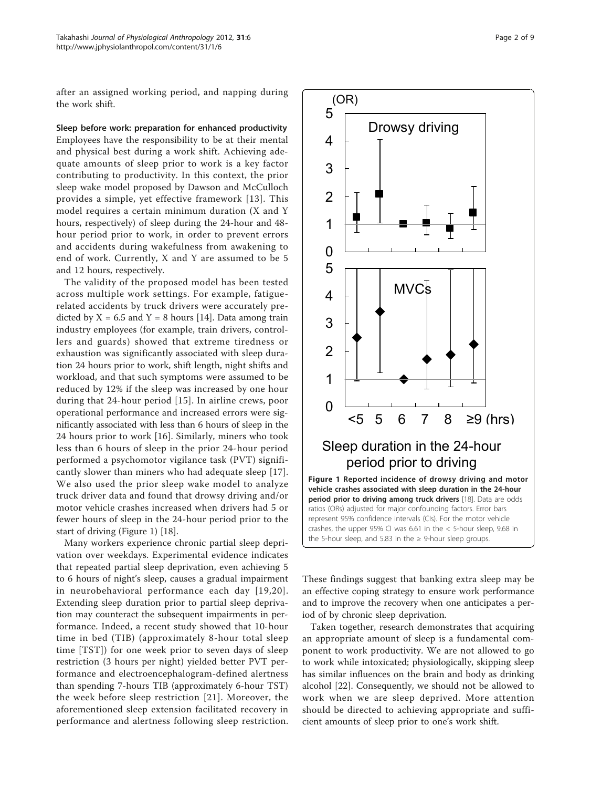after an assigned working period, and napping during the work shift.

Sleep before work: preparation for enhanced productivity Employees have the responsibility to be at their mental and physical best during a work shift. Achieving adequate amounts of sleep prior to work is a key factor contributing to productivity. In this context, the prior sleep wake model proposed by Dawson and McCulloch provides a simple, yet effective framework [[13\]](#page-7-0). This model requires a certain minimum duration (X and Y hours, respectively) of sleep during the 24-hour and 48 hour period prior to work, in order to prevent errors and accidents during wakefulness from awakening to end of work. Currently, X and Y are assumed to be 5 and 12 hours, respectively.

The validity of the proposed model has been tested across multiple work settings. For example, fatiguerelated accidents by truck drivers were accurately predicted by  $X = 6.5$  and  $Y = 8$  hours [\[14\]](#page-7-0). Data among train industry employees (for example, train drivers, controllers and guards) showed that extreme tiredness or exhaustion was significantly associated with sleep duration 24 hours prior to work, shift length, night shifts and workload, and that such symptoms were assumed to be reduced by 12% if the sleep was increased by one hour during that 24-hour period [\[15\]](#page-7-0). In airline crews, poor operational performance and increased errors were significantly associated with less than 6 hours of sleep in the 24 hours prior to work [[16\]](#page-7-0). Similarly, miners who took less than 6 hours of sleep in the prior 24-hour period performed a psychomotor vigilance task (PVT) significantly slower than miners who had adequate sleep [[17](#page-7-0)]. We also used the prior sleep wake model to analyze truck driver data and found that drowsy driving and/or motor vehicle crashes increased when drivers had 5 or fewer hours of sleep in the 24-hour period prior to the start of driving (Figure 1) [[18\]](#page-7-0).

Many workers experience chronic partial sleep deprivation over weekdays. Experimental evidence indicates that repeated partial sleep deprivation, even achieving 5 to 6 hours of night's sleep, causes a gradual impairment in neurobehavioral performance each day [[19](#page-7-0),[20\]](#page-7-0). Extending sleep duration prior to partial sleep deprivation may counteract the subsequent impairments in performance. Indeed, a recent study showed that 10-hour time in bed (TIB) (approximately 8-hour total sleep time [TST]) for one week prior to seven days of sleep restriction (3 hours per night) yielded better PVT performance and electroencephalogram-defined alertness than spending 7-hours TIB (approximately 6-hour TST) the week before sleep restriction [[21](#page-7-0)]. Moreover, the aforementioned sleep extension facilitated recovery in performance and alertness following sleep restriction.



These findings suggest that banking extra sleep may be an effective coping strategy to ensure work performance and to improve the recovery when one anticipates a period of by chronic sleep deprivation.

Taken together, research demonstrates that acquiring an appropriate amount of sleep is a fundamental component to work productivity. We are not allowed to go to work while intoxicated; physiologically, skipping sleep has similar influences on the brain and body as drinking alcohol [[22\]](#page-7-0). Consequently, we should not be allowed to work when we are sleep deprived. More attention should be directed to achieving appropriate and sufficient amounts of sleep prior to one's work shift.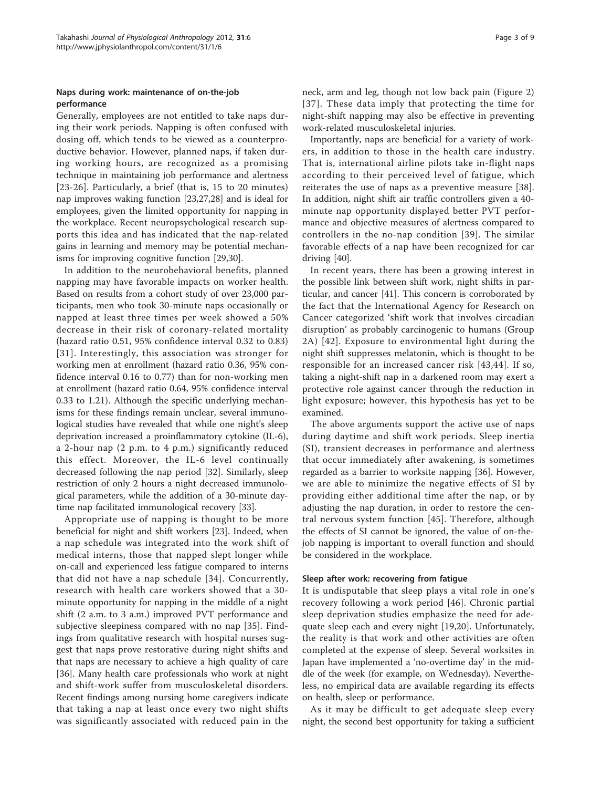# Naps during work: maintenance of on-the-job performance

Generally, employees are not entitled to take naps during their work periods. Napping is often confused with dosing off, which tends to be viewed as a counterproductive behavior. However, planned naps, if taken during working hours, are recognized as a promising technique in maintaining job performance and alertness [[23](#page-7-0)-[26](#page-7-0)]. Particularly, a brief (that is, 15 to 20 minutes) nap improves waking function [\[23,27,28](#page-7-0)] and is ideal for employees, given the limited opportunity for napping in the workplace. Recent neuropsychological research supports this idea and has indicated that the nap-related gains in learning and memory may be potential mechanisms for improving cognitive function [\[29,30\]](#page-7-0).

In addition to the neurobehavioral benefits, planned napping may have favorable impacts on worker health. Based on results from a cohort study of over 23,000 participants, men who took 30-minute naps occasionally or napped at least three times per week showed a 50% decrease in their risk of coronary-related mortality (hazard ratio 0.51, 95% confidence interval 0.32 to 0.83) [[31\]](#page-7-0). Interestingly, this association was stronger for working men at enrollment (hazard ratio 0.36, 95% confidence interval 0.16 to 0.77) than for non-working men at enrollment (hazard ratio 0.64, 95% confidence interval 0.33 to 1.21). Although the specific underlying mechanisms for these findings remain unclear, several immunological studies have revealed that while one night's sleep deprivation increased a proinflammatory cytokine (IL-6), a 2-hour nap (2 p.m. to 4 p.m.) significantly reduced this effect. Moreover, the IL-6 level continually decreased following the nap period [[32](#page-7-0)]. Similarly, sleep restriction of only 2 hours a night decreased immunological parameters, while the addition of a 30-minute daytime nap facilitated immunological recovery [[33\]](#page-7-0).

Appropriate use of napping is thought to be more beneficial for night and shift workers [[23](#page-7-0)]. Indeed, when a nap schedule was integrated into the work shift of medical interns, those that napped slept longer while on-call and experienced less fatigue compared to interns that did not have a nap schedule [[34\]](#page-7-0). Concurrently, research with health care workers showed that a 30 minute opportunity for napping in the middle of a night shift (2 a.m. to 3 a.m.) improved PVT performance and subjective sleepiness compared with no nap [[35](#page-7-0)]. Findings from qualitative research with hospital nurses suggest that naps prove restorative during night shifts and that naps are necessary to achieve a high quality of care [[36\]](#page-7-0). Many health care professionals who work at night and shift-work suffer from musculoskeletal disorders. Recent findings among nursing home caregivers indicate that taking a nap at least once every two night shifts was significantly associated with reduced pain in the neck, arm and leg, though not low back pain (Figure [2](#page-3-0)) [[37](#page-7-0)]. These data imply that protecting the time for night-shift napping may also be effective in preventing work-related musculoskeletal injuries.

Importantly, naps are beneficial for a variety of workers, in addition to those in the health care industry. That is, international airline pilots take in-flight naps according to their perceived level of fatigue, which reiterates the use of naps as a preventive measure [[38](#page-7-0)]. In addition, night shift air traffic controllers given a 40 minute nap opportunity displayed better PVT performance and objective measures of alertness compared to controllers in the no-nap condition [\[39\]](#page-7-0). The similar favorable effects of a nap have been recognized for car driving [[40](#page-7-0)].

In recent years, there has been a growing interest in the possible link between shift work, night shifts in particular, and cancer [\[41](#page-7-0)]. This concern is corroborated by the fact that the International Agency for Research on Cancer categorized 'shift work that involves circadian disruption' as probably carcinogenic to humans (Group 2A) [[42\]](#page-7-0). Exposure to environmental light during the night shift suppresses melatonin, which is thought to be responsible for an increased cancer risk [[43,44\]](#page-7-0). If so, taking a night-shift nap in a darkened room may exert a protective role against cancer through the reduction in light exposure; however, this hypothesis has yet to be examined.

The above arguments support the active use of naps during daytime and shift work periods. Sleep inertia (SI), transient decreases in performance and alertness that occur immediately after awakening, is sometimes regarded as a barrier to worksite napping [[36](#page-7-0)]. However, we are able to minimize the negative effects of SI by providing either additional time after the nap, or by adjusting the nap duration, in order to restore the central nervous system function [\[45\]](#page-7-0). Therefore, although the effects of SI cannot be ignored, the value of on-thejob napping is important to overall function and should be considered in the workplace.

#### Sleep after work: recovering from fatigue

It is undisputable that sleep plays a vital role in one's recovery following a work period [[46](#page-7-0)]. Chronic partial sleep deprivation studies emphasize the need for adequate sleep each and every night [\[19,20](#page-7-0)]. Unfortunately, the reality is that work and other activities are often completed at the expense of sleep. Several worksites in Japan have implemented a 'no-overtime day' in the middle of the week (for example, on Wednesday). Nevertheless, no empirical data are available regarding its effects on health, sleep or performance.

As it may be difficult to get adequate sleep every night, the second best opportunity for taking a sufficient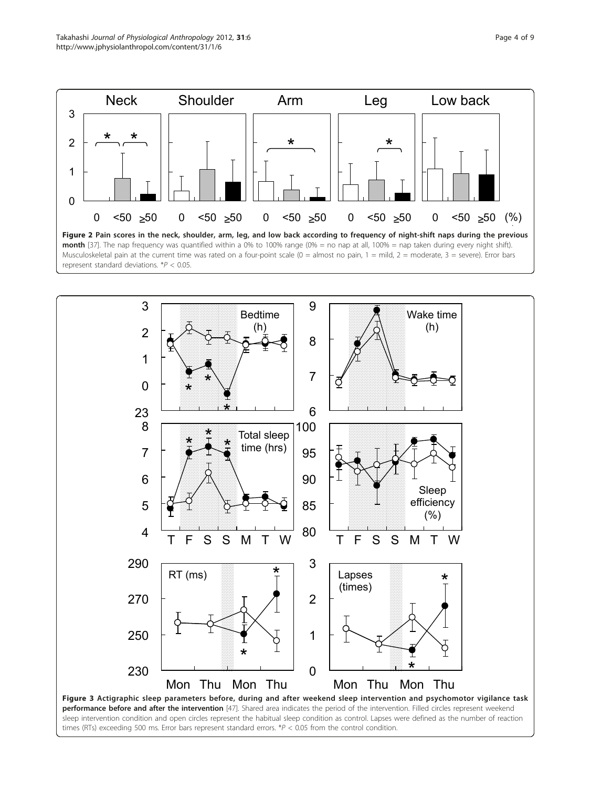<span id="page-3-0"></span>

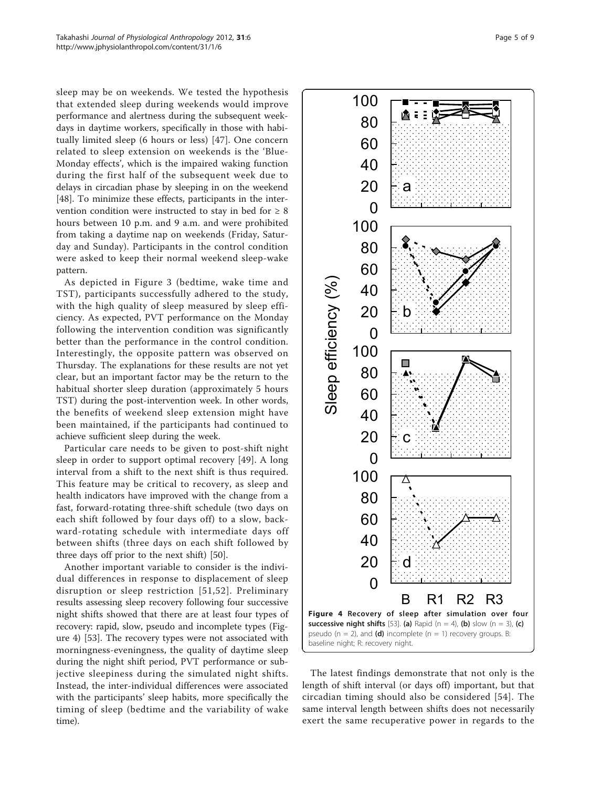sleep may be on weekends. We tested the hypothesis that extended sleep during weekends would improve performance and alertness during the subsequent weekdays in daytime workers, specifically in those with habitually limited sleep (6 hours or less) [[47\]](#page-7-0). One concern related to sleep extension on weekends is the 'Blue-Monday effects', which is the impaired waking function during the first half of the subsequent week due to delays in circadian phase by sleeping in on the weekend [[48\]](#page-7-0). To minimize these effects, participants in the intervention condition were instructed to stay in bed for  $\geq 8$ hours between 10 p.m. and 9 a.m. and were prohibited from taking a daytime nap on weekends (Friday, Saturday and Sunday). Participants in the control condition were asked to keep their normal weekend sleep-wake pattern.

As depicted in Figure [3](#page-3-0) (bedtime, wake time and TST), participants successfully adhered to the study, with the high quality of sleep measured by sleep efficiency. As expected, PVT performance on the Monday following the intervention condition was significantly better than the performance in the control condition. Interestingly, the opposite pattern was observed on Thursday. The explanations for these results are not yet clear, but an important factor may be the return to the habitual shorter sleep duration (approximately 5 hours TST) during the post-intervention week. In other words, the benefits of weekend sleep extension might have been maintained, if the participants had continued to achieve sufficient sleep during the week.

Particular care needs to be given to post-shift night sleep in order to support optimal recovery [[49](#page-7-0)]. A long interval from a shift to the next shift is thus required. This feature may be critical to recovery, as sleep and health indicators have improved with the change from a fast, forward-rotating three-shift schedule (two days on each shift followed by four days off) to a slow, backward-rotating schedule with intermediate days off between shifts (three days on each shift followed by three days off prior to the next shift) [[50\]](#page-7-0).

Another important variable to consider is the individual differences in response to displacement of sleep disruption or sleep restriction [[51,52\]](#page-7-0). Preliminary results assessing sleep recovery following four successive night shifts showed that there are at least four types of recovery: rapid, slow, pseudo and incomplete types (Figure 4) [[53\]](#page-7-0). The recovery types were not associated with morningness-eveningness, the quality of daytime sleep during the night shift period, PVT performance or subjective sleepiness during the simulated night shifts. Instead, the inter-individual differences were associated with the participants' sleep habits, more specifically the timing of sleep (bedtime and the variability of wake time).



The latest findings demonstrate that not only is the length of shift interval (or days off) important, but that circadian timing should also be considered [[54](#page-7-0)]. The same interval length between shifts does not necessarily exert the same recuperative power in regards to the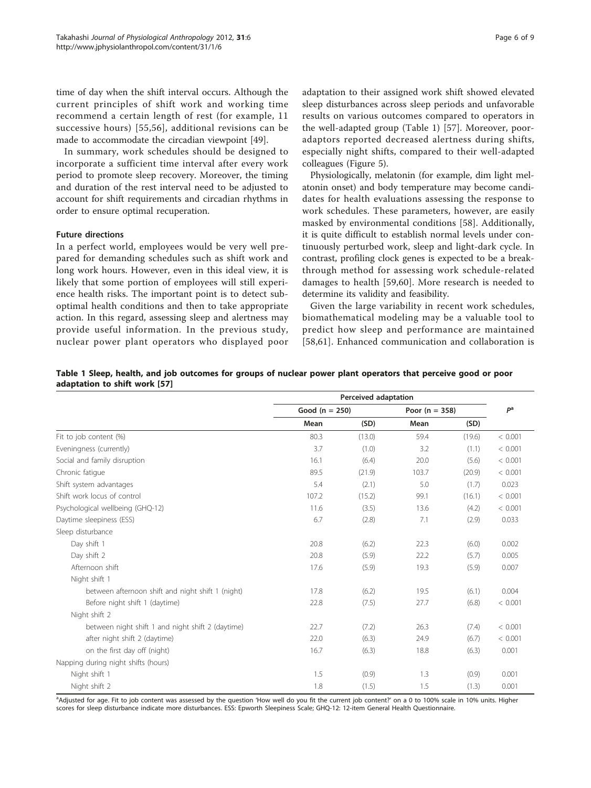time of day when the shift interval occurs. Although the current principles of shift work and working time recommend a certain length of rest (for example, 11 successive hours) [[55](#page-8-0),[56](#page-8-0)], additional revisions can be made to accommodate the circadian viewpoint [[49](#page-7-0)].

In summary, work schedules should be designed to incorporate a sufficient time interval after every work period to promote sleep recovery. Moreover, the timing and duration of the rest interval need to be adjusted to account for shift requirements and circadian rhythms in order to ensure optimal recuperation.

### Future directions

In a perfect world, employees would be very well prepared for demanding schedules such as shift work and long work hours. However, even in this ideal view, it is likely that some portion of employees will still experience health risks. The important point is to detect suboptimal health conditions and then to take appropriate action. In this regard, assessing sleep and alertness may provide useful information. In the previous study, nuclear power plant operators who displayed poor adaptation to their assigned work shift showed elevated sleep disturbances across sleep periods and unfavorable results on various outcomes compared to operators in the well-adapted group (Table 1) [\[57](#page-8-0)]. Moreover, pooradaptors reported decreased alertness during shifts, especially night shifts, compared to their well-adapted colleagues (Figure [5](#page-6-0)).

Physiologically, melatonin (for example, dim light melatonin onset) and body temperature may become candidates for health evaluations assessing the response to work schedules. These parameters, however, are easily masked by environmental conditions [\[58](#page-8-0)]. Additionally, it is quite difficult to establish normal levels under continuously perturbed work, sleep and light-dark cycle. In contrast, profiling clock genes is expected to be a breakthrough method for assessing work schedule-related damages to health [\[59,60](#page-8-0)]. More research is needed to determine its validity and feasibility.

Given the large variability in recent work schedules, biomathematical modeling may be a valuable tool to predict how sleep and performance are maintained [[58,61\]](#page-8-0). Enhanced communication and collaboration is

|                               | Table 1 Sleep, health, and job outcomes for groups of nuclear power plant operators that perceive good or poor |  |  |  |  |  |
|-------------------------------|----------------------------------------------------------------------------------------------------------------|--|--|--|--|--|
| adaptation to shift work [57] |                                                                                                                |  |  |  |  |  |

|                                                   | Perceived adaptation |        |                    |        |                |  |
|---------------------------------------------------|----------------------|--------|--------------------|--------|----------------|--|
|                                                   | Good ( $n = 250$ )   |        | Poor ( $n = 358$ ) |        | P <sup>a</sup> |  |
|                                                   | Mean                 | (SD)   | Mean               | (SD)   |                |  |
| Fit to job content (%)                            | 80.3                 | (13.0) | 59.4               | (19.6) | < 0.001        |  |
| Eveningness (currently)                           | 3.7                  | (1.0)  | 3.2                | (1.1)  | < 0.001        |  |
| Social and family disruption                      | 16.1                 | (6.4)  | 20.0               | (5.6)  | < 0.001        |  |
| Chronic fatique                                   | 89.5                 | (21.9) | 103.7              | (20.9) | < 0.001        |  |
| Shift system advantages                           | 5.4                  | (2.1)  | 5.0                | (1.7)  | 0.023          |  |
| Shift work locus of control                       | 107.2                | (15.2) | 99.1               | (16.1) | < 0.001        |  |
| Psychological wellbeing (GHQ-12)                  | 11.6                 | (3.5)  | 13.6               | (4.2)  | < 0.001        |  |
| Daytime sleepiness (ESS)                          | 6.7                  | (2.8)  | 7.1                | (2.9)  | 0.033          |  |
| Sleep disturbance                                 |                      |        |                    |        |                |  |
| Day shift 1                                       | 20.8                 | (6.2)  | 22.3               | (6.0)  | 0.002          |  |
| Day shift 2                                       | 20.8                 | (5.9)  | 22.2               | (5.7)  | 0.005          |  |
| Afternoon shift                                   | 17.6                 | (5.9)  | 19.3               | (5.9)  | 0.007          |  |
| Night shift 1                                     |                      |        |                    |        |                |  |
| between afternoon shift and night shift 1 (night) | 17.8                 | (6.2)  | 19.5               | (6.1)  | 0.004          |  |
| Before night shift 1 (daytime)                    | 22.8                 | (7.5)  | 27.7               | (6.8)  | < 0.001        |  |
| Night shift 2                                     |                      |        |                    |        |                |  |
| between night shift 1 and night shift 2 (daytime) | 22.7                 | (7.2)  | 26.3               | (7.4)  | < 0.001        |  |
| after night shift 2 (daytime)                     | 22.0                 | (6.3)  | 24.9               | (6.7)  | < 0.001        |  |
| on the first day off (night)                      | 16.7                 | (6.3)  | 18.8               | (6.3)  | 0.001          |  |
| Napping during night shifts (hours)               |                      |        |                    |        |                |  |
| Night shift 1                                     | 1.5                  | (0.9)  | 1.3                | (0.9)  | 0.001          |  |
| Night shift 2                                     | 1.8                  | (1.5)  | 1.5                | (1.3)  | 0.001          |  |

<sup>a</sup>Adjusted for age. Fit to job content was assessed by the question 'How well do you fit the current job content?' on a 0 to 100% scale in 10% units. Higher scores for sleep disturbance indicate more disturbances. ESS: Epworth Sleepiness Scale; GHQ-12: 12-item General Health Questionnaire.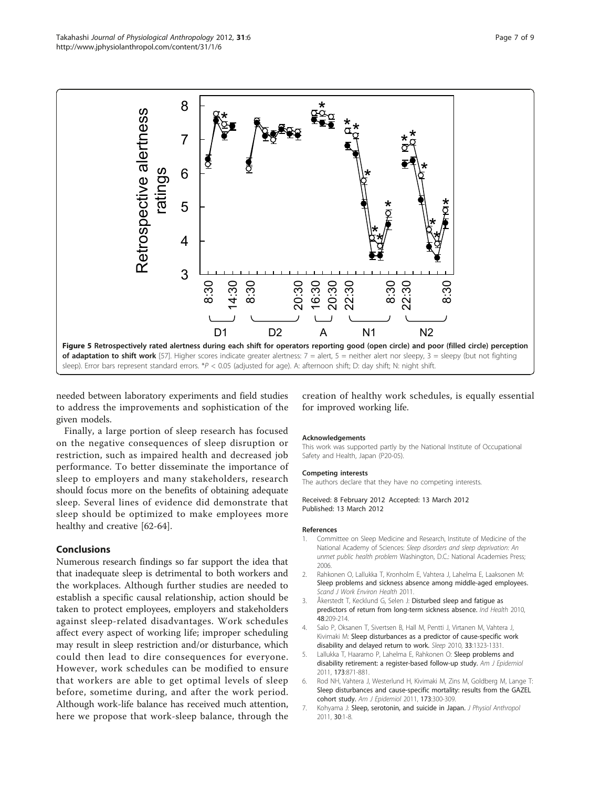<span id="page-6-0"></span>

needed between laboratory experiments and field studies to address the improvements and sophistication of the given models.

Finally, a large portion of sleep research has focused on the negative consequences of sleep disruption or restriction, such as impaired health and decreased job performance. To better disseminate the importance of sleep to employers and many stakeholders, research should focus more on the benefits of obtaining adequate sleep. Several lines of evidence did demonstrate that sleep should be optimized to make employees more healthy and creative [\[62](#page-8-0)-[64](#page-8-0)].

# Conclusions

Numerous research findings so far support the idea that that inadequate sleep is detrimental to both workers and the workplaces. Although further studies are needed to establish a specific causal relationship, action should be taken to protect employees, employers and stakeholders against sleep-related disadvantages. Work schedules affect every aspect of working life; improper scheduling may result in sleep restriction and/or disturbance, which could then lead to dire consequences for everyone. However, work schedules can be modified to ensure that workers are able to get optimal levels of sleep before, sometime during, and after the work period. Although work-life balance has received much attention, here we propose that work-sleep balance, through the

creation of healthy work schedules, is equally essential for improved working life.

#### Acknowledgements

This work was supported partly by the National Institute of Occupational Safety and Health, Japan (P20-05).

#### Competing interests

The authors declare that they have no competing interests.

Received: 8 February 2012 Accepted: 13 March 2012 Published: 13 March 2012

#### References

- 1. Committee on Sleep Medicine and Research, Institute of Medicine of the National Academy of Sciences: Sleep disorders and sleep deprivation: An unmet public health problem Washington, D.C.: National Academies Press; 2006.
- 2. Rahkonen O, Lallukka T, Kronholm E, Vahtera J, Lahelma E, Laaksonen M: Sleep problems and sickness absence among middle-aged employees. Scand J Work Environ Health 2011.
- 3. Åkerstedt T, Kecklund G, Selen J: [Disturbed sleep and fatigue as](http://www.ncbi.nlm.nih.gov/pubmed/20424352?dopt=Abstract) [predictors of return from long-term sickness absence.](http://www.ncbi.nlm.nih.gov/pubmed/20424352?dopt=Abstract) Ind Health 2010, 48:209-214.
- 4. Salo P, Oksanen T, Sivertsen B, Hall M, Pentti J, Virtanen M, Vahtera J, Kivimaki M: [Sleep disturbances as a predictor of cause-specific work](http://www.ncbi.nlm.nih.gov/pubmed/21061854?dopt=Abstract) [disability and delayed return to work.](http://www.ncbi.nlm.nih.gov/pubmed/21061854?dopt=Abstract) Sleep 2010, 33:1323-1331.
- 5. Lallukka T, Haaramo P, Lahelma E, Rahkonen O: [Sleep problems and](http://www.ncbi.nlm.nih.gov/pubmed/21415034?dopt=Abstract) [disability retirement: a register-based follow-up study.](http://www.ncbi.nlm.nih.gov/pubmed/21415034?dopt=Abstract) Am J Epidemiol 2011, 173:871-881.
- 6. Rod NH, Vahtera J, Westerlund H, Kivimaki M, Zins M, Goldberg M, Lange T: [Sleep disturbances and cause-specific mortality: results from the GAZEL](http://www.ncbi.nlm.nih.gov/pubmed/21193534?dopt=Abstract) [cohort study.](http://www.ncbi.nlm.nih.gov/pubmed/21193534?dopt=Abstract) Am J Epidemiol 2011, 173:300-309.
- 7. Kohyama J: [Sleep, serotonin, and suicide in Japan.](http://www.ncbi.nlm.nih.gov/pubmed/21307614?dopt=Abstract) J Physiol Anthropol 2011, 30:1-8.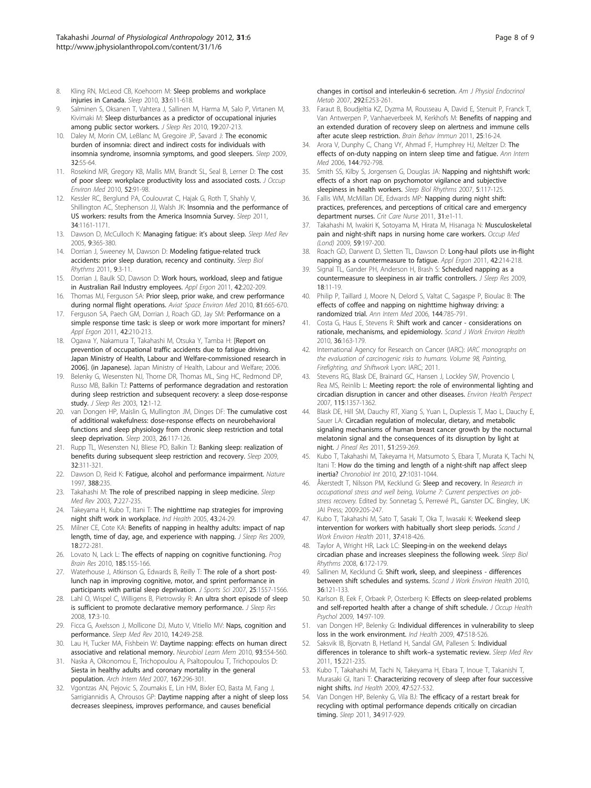- <span id="page-7-0"></span>8. Kling RN, McLeod CB, Koehoorn M: [Sleep problems and workplace](http://www.ncbi.nlm.nih.gov/pubmed/20469803?dopt=Abstract) [injuries in Canada.](http://www.ncbi.nlm.nih.gov/pubmed/20469803?dopt=Abstract) Sleep 2010, 33:611-618.
- Salminen S, Oksanen T, Vahtera J, Sallinen M, Harma M, Salo P, Virtanen M, Kivimaki M: [Sleep disturbances as a predictor of occupational injuries](http://www.ncbi.nlm.nih.gov/pubmed/19840241?dopt=Abstract) [among public sector workers.](http://www.ncbi.nlm.nih.gov/pubmed/19840241?dopt=Abstract) J Sleep Res 2010, 19:207-213.
- 10. Daley M, Morin CM, LeBlanc M, Gregoire JP, Savard J: [The economic](http://www.ncbi.nlm.nih.gov/pubmed/19189779?dopt=Abstract) [burden of insomnia: direct and indirect costs for individuals with](http://www.ncbi.nlm.nih.gov/pubmed/19189779?dopt=Abstract) [insomnia syndrome, insomnia symptoms, and good sleepers.](http://www.ncbi.nlm.nih.gov/pubmed/19189779?dopt=Abstract) Sleep 2009, 32:55-64.
- 11. Rosekind MR, Gregory KB, Mallis MM, Brandt SL, Seal B, Lerner D: [The cost](http://www.ncbi.nlm.nih.gov/pubmed/20042880?dopt=Abstract) [of poor sleep: workplace productivity loss and associated costs.](http://www.ncbi.nlm.nih.gov/pubmed/20042880?dopt=Abstract) J Occup Environ Med 2010, 52:91-98.
- 12. Kessler RC, Berglund PA, Coulouvrat C, Hajak G, Roth T, Shahly V, Shillington AC, Stephenson JJ, Walsh JK: [Insomnia and the performance of](http://www.ncbi.nlm.nih.gov/pubmed/21886353?dopt=Abstract) [US workers: results from the America Insomnia Survey.](http://www.ncbi.nlm.nih.gov/pubmed/21886353?dopt=Abstract) Sleep 2011, 34:1161-1171.
- 13. Dawson D, McCulloch K: [Managing fatigue: it](http://www.ncbi.nlm.nih.gov/pubmed/16099184?dopt=Abstract)'s about sleep. Sleep Med Rev 2005, 9:365-380.
- 14. Dorrian J, Sweeney M, Dawson D: Modeling fatigue-related truck accidents: prior sleep duration, recency and continuity. Sleep Biol Rhythms 2011, 9:3-11.
- 15. Dorrian J, Baulk SD, Dawson D: [Work hours, workload, sleep and fatigue](http://www.ncbi.nlm.nih.gov/pubmed/20691425?dopt=Abstract) [in Australian Rail Industry employees.](http://www.ncbi.nlm.nih.gov/pubmed/20691425?dopt=Abstract) Appl Ergon 2011, 42:202-209.
- 16. Thomas MJ, Ferguson SA: [Prior sleep, prior wake, and crew performance](http://www.ncbi.nlm.nih.gov/pubmed/20597246?dopt=Abstract) [during normal flight operations.](http://www.ncbi.nlm.nih.gov/pubmed/20597246?dopt=Abstract) Aviat Space Environ Med 2010, 81:665-670.
- 17. Ferguson SA, Paech GM, Dorrian J, Roach GD, Jay SM: [Performance on a](http://www.ncbi.nlm.nih.gov/pubmed/20674886?dopt=Abstract) [simple response time task: is sleep or work more important for miners?](http://www.ncbi.nlm.nih.gov/pubmed/20674886?dopt=Abstract) Appl Fraon 2011, 42:210-213.
- 18. Ogawa Y, Nakamura T, Takahashi M, Otsuka Y, Tamba H: [Report on prevention of occupational traffic accidents due to fatigue driving. Japan Ministry of Health, Labour and Welfare-commissioned research in 2006]. (in Japanese). Japan Ministry of Health, Labour and Welfare; 2006.
- 19. Belenky G, Wesensten NJ, Thorne DR, Thomas ML, Sing HC, Redmond DP, Russo MB, Balkin TJ: [Patterns of performance degradation and restoration](http://www.ncbi.nlm.nih.gov/pubmed/12603781?dopt=Abstract) [during sleep restriction and subsequent recovery: a sleep dose-response](http://www.ncbi.nlm.nih.gov/pubmed/12603781?dopt=Abstract) [study.](http://www.ncbi.nlm.nih.gov/pubmed/12603781?dopt=Abstract) J Sleep Res 2003, 12:1-12.
- 20. van Dongen HP, Maislin G, Mullington JM, Dinges DF: [The cumulative cost](http://www.ncbi.nlm.nih.gov/pubmed/12683469?dopt=Abstract) [of additional wakefulness: dose-response effects on neurobehavioral](http://www.ncbi.nlm.nih.gov/pubmed/12683469?dopt=Abstract) [functions and sleep physiology from chronic sleep restriction and total](http://www.ncbi.nlm.nih.gov/pubmed/12683469?dopt=Abstract) [sleep deprivation.](http://www.ncbi.nlm.nih.gov/pubmed/12683469?dopt=Abstract) Sleep 2003, 26:117-126.
- 21. Rupp TL, Wesensten NJ, Bliese PD, Balkin TJ: [Banking sleep: realization of](http://www.ncbi.nlm.nih.gov/pubmed/19294951?dopt=Abstract) [benefits during subsequent sleep restriction and recovery.](http://www.ncbi.nlm.nih.gov/pubmed/19294951?dopt=Abstract) Sleep 2009, 32:311-321.
- 22. Dawson D, Reid K: [Fatigue, alcohol and performance impairment.](http://www.ncbi.nlm.nih.gov/pubmed/9230429?dopt=Abstract) Nature 1997, 388:235.
- 23. Takahashi M: [The role of prescribed napping in sleep medicine.](http://www.ncbi.nlm.nih.gov/pubmed/12927122?dopt=Abstract) Sleep Med Rev 2003, 7:227-235.
- 24. Takeyama H, Kubo T, Itani T: [The nighttime nap strategies for improving](http://www.ncbi.nlm.nih.gov/pubmed/15732300?dopt=Abstract) [night shift work in workplace.](http://www.ncbi.nlm.nih.gov/pubmed/15732300?dopt=Abstract) Ind Health 2005, 43:24-29.
- 25. Milner CE, Cote KA: [Benefits of napping in healthy adults: impact of nap](http://www.ncbi.nlm.nih.gov/pubmed/19645971?dopt=Abstract) [length, time of day, age, and experience with napping.](http://www.ncbi.nlm.nih.gov/pubmed/19645971?dopt=Abstract) J Sleep Res 2009, 18:272-281.
- 26. Lovato N, Lack L: [The effects of napping on cognitive functioning.](http://www.ncbi.nlm.nih.gov/pubmed/21075238?dopt=Abstract) Prog Brain Res 2010, 185:155-166.
- 27. Waterhouse J, Atkinson G, Edwards B, Reilly T: [The role of a short post](http://www.ncbi.nlm.nih.gov/pubmed/17852691?dopt=Abstract)[lunch nap in improving cognitive, motor, and sprint performance in](http://www.ncbi.nlm.nih.gov/pubmed/17852691?dopt=Abstract) [participants with partial sleep deprivation.](http://www.ncbi.nlm.nih.gov/pubmed/17852691?dopt=Abstract) J Sports Sci 2007, 25:1557-1566.
- 28. Lahl O, Wispel C, Willigens B, Pietrowsky R: [An ultra short episode of sleep](http://www.ncbi.nlm.nih.gov/pubmed/18275549?dopt=Abstract) [is sufficient to promote declarative memory performance.](http://www.ncbi.nlm.nih.gov/pubmed/18275549?dopt=Abstract) J Sleep Res 2008, 17:3-10.
- 29. Ficca G, Axelsson J, Mollicone DJ, Muto V, Vitiello MV: [Naps, cognition and](http://www.ncbi.nlm.nih.gov/pubmed/19962331?dopt=Abstract) [performance.](http://www.ncbi.nlm.nih.gov/pubmed/19962331?dopt=Abstract) Sleep Med Rev 2010, 14:249-258.
- 30. Lau H, Tucker MA, Fishbein W: [Daytime napping: effects on human direct](http://www.ncbi.nlm.nih.gov/pubmed/20176120?dopt=Abstract) [associative and relational memory.](http://www.ncbi.nlm.nih.gov/pubmed/20176120?dopt=Abstract) Neurobiol Learn Mem 2010, 93:554-560.
- 31. Naska A, Oikonomou E, Trichopoulou A, Psaltopoulou T, Trichopoulos D: [Siesta in healthy adults and coronary mortality in the general](http://www.ncbi.nlm.nih.gov/pubmed/17296887?dopt=Abstract) [population.](http://www.ncbi.nlm.nih.gov/pubmed/17296887?dopt=Abstract) Arch Intern Med 2007, 167:296-301.
- Vgontzas AN, Pejovic S, Zoumakis E, Lin HM, Bixler EO, Basta M, Fang J, Sarrigiannidis A, Chrousos GP: [Daytime napping after a night of sleep loss](http://www.ncbi.nlm.nih.gov/pubmed/16940468?dopt=Abstract) [decreases sleepiness, improves performance, and causes beneficial](http://www.ncbi.nlm.nih.gov/pubmed/16940468?dopt=Abstract)

[changes in cortisol and interleukin-6 secretion.](http://www.ncbi.nlm.nih.gov/pubmed/16940468?dopt=Abstract) Am J Physiol Endocrinol Metab 2007, 292:E253-261.

- 33. Faraut B, Boudjeltia KZ, Dyzma M, Rousseau A, David E, Stenuit P, Franck T, Van Antwerpen P, Vanhaeverbeek M, Kerkhofs M: [Benefits of napping and](http://www.ncbi.nlm.nih.gov/pubmed/20699115?dopt=Abstract) [an extended duration of recovery sleep on alertness and immune cells](http://www.ncbi.nlm.nih.gov/pubmed/20699115?dopt=Abstract) [after acute sleep restriction.](http://www.ncbi.nlm.nih.gov/pubmed/20699115?dopt=Abstract) Brain Behav Immun 2011, 25:16-24.
- 34. Arora V, Dunphy C, Chang W, Ahmad F, Humphrey HJ, Meltzer D: [The](http://www.ncbi.nlm.nih.gov/pubmed/16754921?dopt=Abstract) [effects of on-duty napping on intern sleep time and fatigue.](http://www.ncbi.nlm.nih.gov/pubmed/16754921?dopt=Abstract) Ann Intern Med 2006, 144:792-798.
- 35. Smith SS, Kilby S, Jorgensen G, Douglas JA: Napping and nightshift work: effects of a short nap on psychomotor vigilance and subjective sleepiness in health workers. Sleep Biol Rhythms 2007, 5:117-125.
- 36. Fallis WM, McMillan DE, Edwards MP: [Napping during night shift:](http://www.ncbi.nlm.nih.gov/pubmed/22135338?dopt=Abstract) [practices, preferences, and perceptions of critical care and emergency](http://www.ncbi.nlm.nih.gov/pubmed/22135338?dopt=Abstract) [department nurses.](http://www.ncbi.nlm.nih.gov/pubmed/22135338?dopt=Abstract) Crit Care Nurse 2011, 31:e1-11.
- 37. Takahashi M, Iwakiri K, Sotoyama M, Hirata M, Hisanaga N: Musculoskeletal pain and night-shift naps in nursing home care workers. Occup Med (Lond) 2009, 59:197-200.
- 38. Roach GD, Darwent D, Sletten TL, Dawson D: [Long-haul pilots use in-flight](http://www.ncbi.nlm.nih.gov/pubmed/20673572?dopt=Abstract) [napping as a countermeasure to fatigue.](http://www.ncbi.nlm.nih.gov/pubmed/20673572?dopt=Abstract) Appl Ergon 2011, 42:214-218.
- 39. Signal TL, Gander PH, Anderson H, Brash S: [Scheduled napping as a](http://www.ncbi.nlm.nih.gov/pubmed/19250171?dopt=Abstract) [countermeasure to sleepiness in air traffic controllers.](http://www.ncbi.nlm.nih.gov/pubmed/19250171?dopt=Abstract) J Sleep Res 2009, 18:11-19.
- 40. Philip P, Taillard J, Moore N, Delord S, Valtat C, Sagaspe P, Bioulac B: [The](http://www.ncbi.nlm.nih.gov/pubmed/16754920?dopt=Abstract) [effects of coffee and napping on nighttime highway driving: a](http://www.ncbi.nlm.nih.gov/pubmed/16754920?dopt=Abstract) [randomized trial.](http://www.ncbi.nlm.nih.gov/pubmed/16754920?dopt=Abstract) Ann Intern Med 2006, 144:785-791.
- 41. Costa G, Haus E, Stevens R: [Shift work and cancer considerations on](http://www.ncbi.nlm.nih.gov/pubmed/20126969?dopt=Abstract) [rationale, mechanisms, and epidemiology.](http://www.ncbi.nlm.nih.gov/pubmed/20126969?dopt=Abstract) Scand J Work Environ Health 2010, 36:163-179.
- 42. International Agency for Research on Cancer (IARC): IARC monographs on the evaluation of carcinogenic risks to humans. Volume 98, Painting, Firefighting, and Shiftwork Lyon: IARC; 2011.
- 43. Stevens RG, Blask DE, Brainard GC, Hansen J, Lockley SW, Provencio I, Rea MS, Reinlib L: [Meeting report: the role of environmental lighting and](http://www.ncbi.nlm.nih.gov/pubmed/17805428?dopt=Abstract) [circadian disruption in cancer and other diseases.](http://www.ncbi.nlm.nih.gov/pubmed/17805428?dopt=Abstract) Environ Health Perspect 2007, 115:1357-1362.
- Blask DE, Hill SM, Dauchy RT, Xiang S, Yuan L, Duplessis T, Mao L, Dauchy E, Sauer LA: [Circadian regulation of molecular, dietary, and metabolic](http://www.ncbi.nlm.nih.gov/pubmed/21605163?dopt=Abstract) [signaling mechanisms of human breast cancer growth by the nocturnal](http://www.ncbi.nlm.nih.gov/pubmed/21605163?dopt=Abstract) [melatonin signal and the consequences of its disruption by light at](http://www.ncbi.nlm.nih.gov/pubmed/21605163?dopt=Abstract) [night.](http://www.ncbi.nlm.nih.gov/pubmed/21605163?dopt=Abstract) J Pineal Res 2011, 51:259-269.
- Kubo T, Takahashi M, Takeyama H, Matsumoto S, Ebara T, Murata K, Tachi N, Itani T: [How do the timing and length of a night-shift nap affect sleep](http://www.ncbi.nlm.nih.gov/pubmed/20636214?dopt=Abstract) [inertia?](http://www.ncbi.nlm.nih.gov/pubmed/20636214?dopt=Abstract) Chronobiol Int 2010, 27:1031-1044.
- 46. Åkerstedt T, Nilsson PM, Kecklund G: Sleep and recovery. In Research in occupational stress and well being, Volume 7: Current perspectives on jobstress recovery. Edited by: Sonnetag S, Perrewé PL, Ganster DC. Bingley, UK: JAI Press; 2009:205-247.
- 47. Kubo T, Takahashi M, Sato T, Sasaki T, Oka T, Iwasaki K: [Weekend sleep](http://www.ncbi.nlm.nih.gov/pubmed/21475780?dopt=Abstract) [intervention for workers with habitually short sleep periods.](http://www.ncbi.nlm.nih.gov/pubmed/21475780?dopt=Abstract) Scand J Work Environ Health 2011, 37:418-426.
- 48. Taylor A, Wright HR, Lack LC: Sleeping-in on the weekend delays circadian phase and increases sleepiness the following week. Sleep Biol Rhythms 2008, 6:172-179.
- Sallinen M, Kecklund G: Shift [work, sleep, and sleepiness differences](http://www.ncbi.nlm.nih.gov/pubmed/20119631?dopt=Abstract) [between shift schedules and systems.](http://www.ncbi.nlm.nih.gov/pubmed/20119631?dopt=Abstract) Scand J Work Environ Health 2010, 36:121-133.
- 50. Karlson B, Eek F, Orbaek P, Osterberg K: [Effects on sleep-related problems](http://www.ncbi.nlm.nih.gov/pubmed/19331473?dopt=Abstract) [and self-reported health after a change of shift schedule.](http://www.ncbi.nlm.nih.gov/pubmed/19331473?dopt=Abstract) J Occup Health Psychol 2009, 14:97-109.
- 51. van Dongen HP, Belenky G: [Individual differences in vulnerability to sleep](http://www.ncbi.nlm.nih.gov/pubmed/19834261?dopt=Abstract) [loss in the work environment.](http://www.ncbi.nlm.nih.gov/pubmed/19834261?dopt=Abstract) Ind Health 2009, 47:518-526.
- 52. Saksvik IB, Bjorvatn B, Hetland H, Sandal GM, Pallesen S: [Individual](http://www.ncbi.nlm.nih.gov/pubmed/20851006?dopt=Abstract) [differences in tolerance to shift work](http://www.ncbi.nlm.nih.gov/pubmed/20851006?dopt=Abstract)-a systematic review. Sleep Med Rev 2011, 15:221-235.
- 53. Kubo T, Takahashi M, Tachi N, Takeyama H, Ebara T, Inoue T, Takanishi T, Murasaki GI, Itani T: [Characterizing recovery of sleep after four successive](http://www.ncbi.nlm.nih.gov/pubmed/19834262?dopt=Abstract) [night shifts.](http://www.ncbi.nlm.nih.gov/pubmed/19834262?dopt=Abstract) Ind Health 2009, 47:527-532.
- 54. Van Dongen HP, Belenky G, Vila BJ: [The efficacy of a restart break for](http://www.ncbi.nlm.nih.gov/pubmed/21731142?dopt=Abstract) [recycling with optimal performance depends critically on circadian](http://www.ncbi.nlm.nih.gov/pubmed/21731142?dopt=Abstract) [timing.](http://www.ncbi.nlm.nih.gov/pubmed/21731142?dopt=Abstract) Sleep 2011, 34:917-929.